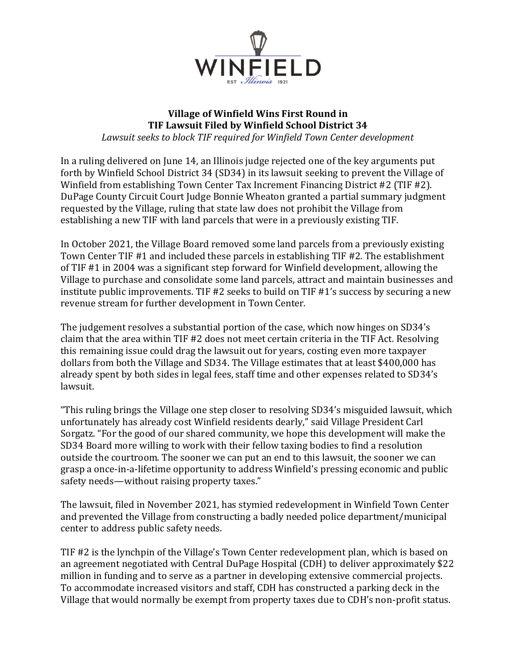

## **Village of Winfield Wins First Round in TIF Lawsuit Filed by Winfield School District 34**

*Lawsuit seeks to block TIF required for Winfield Town Center development*

In a ruling delivered on June 14, an Illinois judge rejected one of the key arguments put forth by Winfield School District 34 (SD34) in its lawsuit seeking to prevent the Village of Winfield from establishing Town Center Tax Increment Financing District #2 (TIF #2). DuPage County Circuit Court Judge Bonnie Wheaton granted a partial summary judgment requested by the Village, ruling that state law does not prohibit the Village from establishing a new TIF with land parcels that were in a previously existing TIF.

In October 2021, the Village Board removed some land parcels from a previously existing Town Center TIF #1 and included these parcels in establishing TIF #2. The establishment of TIF #1 in 2004 was a significant step forward for Winfield development, allowing the Village to purchase and consolidate some land parcels, attract and maintain businesses and institute public improvements. TIF #2 seeks to build on TIF #1's success by securing a new revenue stream for further development in Town Center.

The judgement resolves a substantial portion of the case, which now hinges on SD34's claim that the area within TIF #2 does not meet certain criteria in the TIF Act. Resolving this remaining issue could drag the lawsuit out for years, costing even more taxpayer dollars from both the Village and SD34. The Village estimates that at least \$400,000 has already spent by both sides in legal fees, staff time and other expenses related to SD34's lawsuit.

"This ruling brings the Village one step closer to resolving SD34's misguided lawsuit, which unfortunately has already cost Winfield residents dearly," said Village President Carl Sorgatz. "For the good of our shared community, we hope this development will make the SD34 Board more willing to work with their fellow taxing bodies to find a resolution outside the courtroom. The sooner we can put an end to this lawsuit, the sooner we can grasp a once-in-a-lifetime opportunity to address Winfield's pressing economic and public safety needs—without raising property taxes."

The lawsuit, filed in November 2021, has stymied redevelopment in Winfield Town Center and prevented the Village from constructing a badly needed police department/municipal center to address public safety needs.

TIF #2 is the lynchpin of the Village's Town Center redevelopment plan, which is based on an agreement negotiated with Central DuPage Hospital (CDH) to deliver approximately \$22 million in funding and to serve as a partner in developing extensive commercial projects. To accommodate increased visitors and staff, CDH has constructed a parking deck in the Village that would normally be exempt from property taxes due to CDH's non-profit status.